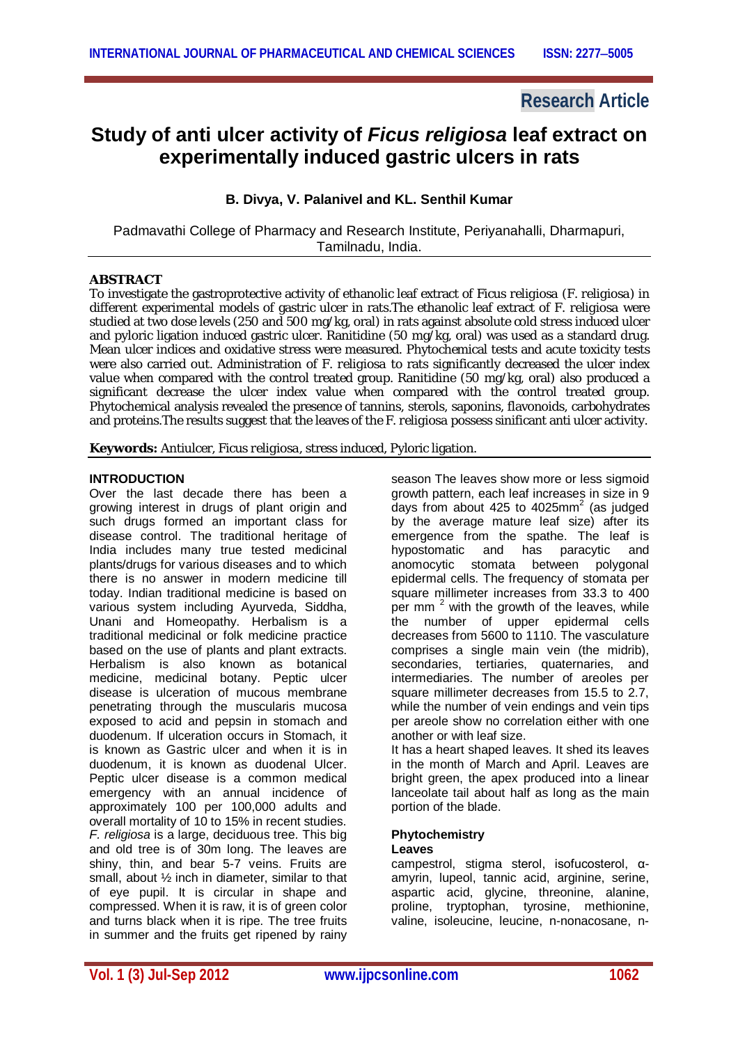# **Research Article**

# **Study of anti ulcer activity of** *Ficus religiosa* **leaf extract on experimentally induced gastric ulcers in rats**

## **B. Divya, V. Palanivel and KL. Senthil Kumar**

Padmavathi College of Pharmacy and Research Institute, Periyanahalli, Dharmapuri, Tamilnadu, India.

## **ABSTRACT**

To investigate the gastroprotective activity of ethanolic leaf extract of *Ficus religiosa* (*F. religiosa*) in different experimental models of gastric ulcer in rats.The ethanolic leaf extract of *F. religiosa* were studied at two dose levels (250 and 500 mg/kg, oral) in rats against absolute cold stress induced ulcer and pyloric ligation induced gastric ulcer. Ranitidine (50 mg/kg, oral) was used as a standard drug. Mean ulcer indices and oxidative stress were measured. Phytochemical tests and acute toxicity tests were also carried out. Administration of *F. religiosa* to rats significantly decreased the ulcer index value when compared with the control treated group. Ranitidine (50 mg/kg, oral) also produced a significant decrease the ulcer index value when compared with the control treated group. Phytochemical analysis revealed the presence of tannins, sterols, saponins, flavonoids, carbohydrates and proteins.The results suggest that the leaves of the *F. religiosa* possess sinificant anti ulcer activity.

**Keywords:** Antiulcer, *Ficus religiosa*, stress induced, Pyloric ligation.

## **INTRODUCTION**

Over the last decade there has been a growing interest in drugs of plant origin and such drugs formed an important class for disease control. The traditional heritage of India includes many true tested medicinal plants/drugs for various diseases and to which there is no answer in modern medicine till today. Indian traditional medicine is based on various system including Ayurveda, Siddha, Unani and Homeopathy. Herbalism is a traditional medicinal or folk medicine practice based on the use of plants and plant extracts. Herbalism is also known as botanical medicine, medicinal botany. Peptic ulcer disease is ulceration of mucous membrane penetrating through the muscularis mucosa exposed to acid and pepsin in stomach and duodenum. If ulceration occurs in Stomach, it is known as Gastric ulcer and when it is in duodenum, it is known as duodenal Ulcer. Peptic ulcer disease is a common medical emergency with an annual incidence of approximately 100 per 100,000 adults and overall mortality of 10 to 15% in recent studies. *F. religiosa* is a large, deciduous tree. This big and old tree is of 30m long. The leaves are shiny, thin, and bear 5-7 veins. Fruits are small, about ½ inch in diameter, similar to that of eye pupil. It is circular in shape and compressed. When it is raw, it is of green color and turns black when it is ripe. The tree fruits in summer and the fruits get ripened by rainy

season The leaves show more or less sigmoid growth pattern, each leaf increases in size in 9 days from about 425 to 4025mm<sup>2</sup> (as judged by the average mature leaf size) after its emergence from the spathe. The leaf is<br>hypostomatic and has paracytic and hypostomatic and<br>anomocytic stomata stomata between polygonal epidermal cells. The frequency of stomata per square millimeter increases from 33.3 to 400 per mm<sup>2</sup> with the growth of the leaves, while the number of upper epidermal cells decreases from 5600 to 1110. The vasculature comprises a single main vein (the midrib), secondaries, tertiaries, quaternaries, and intermediaries. The number of areoles per square millimeter decreases from 15.5 to 2.7, while the number of vein endings and vein tips per areole show no correlation either with one another or with leaf size.

It has a heart shaped leaves. It shed its leaves in the month of March and April. Leaves are bright green, the apex produced into a linear lanceolate tail about half as long as the main portion of the blade.

## **Phytochemistry**

## **Leaves**

campestrol, stigma sterol, isofucosterol, αamyrin, lupeol, tannic acid, arginine, serine, aspartic acid, glycine, threonine, alanine, proline, tryptophan, tyrosine, methionine, valine, isoleucine, leucine, n-nonacosane, n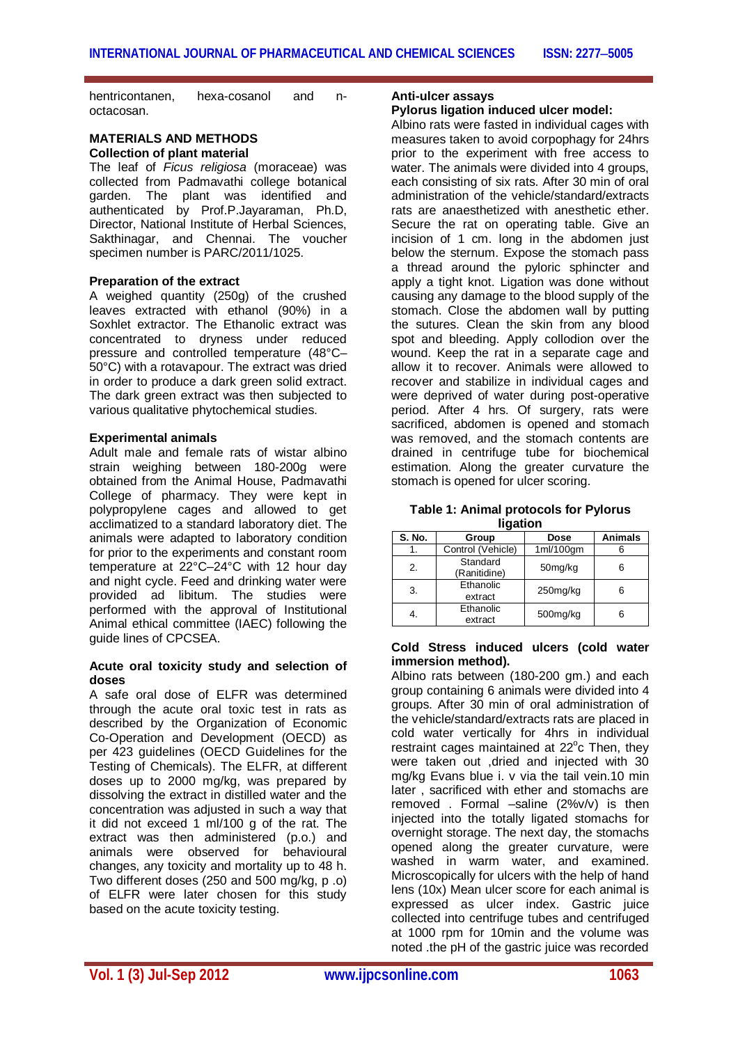hentricontanen, hexa-cosanol and noctacosan.

#### **MATERIALS AND METHODS Collection of plant material**

The leaf of *Ficus religiosa* (moraceae) was collected from Padmavathi college botanical garden. The plant was identified and authenticated by Prof.P.Jayaraman, Ph.D, Director, National Institute of Herbal Sciences, Sakthinagar, and Chennai. The voucher specimen number is PARC/2011/1025.

## **Preparation of the extract**

A weighed quantity (250g) of the crushed leaves extracted with ethanol (90%) in a Soxhlet extractor. The Ethanolic extract was concentrated to dryness under reduced pressure and controlled temperature (48°C– 50°C) with a rotavapour. The extract was dried in order to produce a dark green solid extract. The dark green extract was then subjected to various qualitative phytochemical studies.

### **Experimental animals**

Adult male and female rats of wistar albino strain weighing between 180-200g were obtained from the Animal House, Padmavathi College of pharmacy. They were kept in polypropylene cages and allowed to get acclimatized to a standard laboratory diet. The animals were adapted to laboratory condition for prior to the experiments and constant room temperature at 22°C–24°C with 12 hour day and night cycle. Feed and drinking water were provided ad libitum. The studies were performed with the approval of Institutional Animal ethical committee (IAEC) following the guide lines of CPCSEA.

#### **Acute oral toxicity study and selection of doses**

A safe oral dose of ELFR was determined through the acute oral toxic test in rats as described by the Organization of Economic Co-Operation and Development (OECD) as per 423 guidelines (OECD Guidelines for the Testing of Chemicals). The ELFR, at different doses up to 2000 mg/kg, was prepared by dissolving the extract in distilled water and the concentration was adjusted in such a way that it did not exceed 1 ml/100 g of the rat. The extract was then administered (p.o.) and animals were observed for behavioural changes, any toxicity and mortality up to 48 h. Two different doses (250 and 500 mg/kg, p .o) of ELFR were later chosen for this study based on the acute toxicity testing.

## **Anti-ulcer assays**

## **Pylorus ligation induced ulcer model:**

Albino rats were fasted in individual cages with measures taken to avoid corpophagy for 24hrs prior to the experiment with free access to water. The animals were divided into 4 groups. each consisting of six rats. After 30 min of oral administration of the vehicle/standard/extracts rats are anaesthetized with anesthetic ether. Secure the rat on operating table. Give an incision of 1 cm. long in the abdomen just below the sternum. Expose the stomach pass a thread around the pyloric sphincter and apply a tight knot. Ligation was done without causing any damage to the blood supply of the stomach. Close the abdomen wall by putting the sutures. Clean the skin from any blood spot and bleeding. Apply collodion over the wound. Keep the rat in a separate cage and allow it to recover. Animals were allowed to recover and stabilize in individual cages and were deprived of water during post-operative period. After 4 hrs. Of surgery, rats were sacrificed, abdomen is opened and stomach was removed, and the stomach contents are drained in centrifuge tube for biochemical estimation. Along the greater curvature the stomach is opened for ulcer scoring.

| Table 1: Animal protocols for Pylorus |
|---------------------------------------|
| ligation                              |

| S. No. | Group                    | <b>Dose</b> | <b>Animals</b> |  |
|--------|--------------------------|-------------|----------------|--|
| 1.     | Control (Vehicle)        | 1ml/100gm   |                |  |
| 2.     | Standard<br>(Ranitidine) | 50mg/kg     | 6              |  |
| 3.     | Ethanolic<br>extract     | 250mg/kg    | 6              |  |
| 4.     | Ethanolic<br>extract     | 500mg/kg    | 6              |  |

#### **Cold Stress induced ulcers (cold water immersion method).**

Albino rats between (180-200 gm.) and each group containing 6 animals were divided into 4 groups. After 30 min of oral administration of the vehicle/standard/extracts rats are placed in cold water vertically for 4hrs in individual restraint cages maintained at 22°c Then, they were taken out ,dried and injected with 30 mg/kg Evans blue i. v via the tail vein.10 min later , sacrificed with ether and stomachs are removed . Formal –saline (2%v/v) is then injected into the totally ligated stomachs for overnight storage. The next day, the stomachs opened along the greater curvature, were washed in warm water, and examined. Microscopically for ulcers with the help of hand lens (10x) Mean ulcer score for each animal is expressed as ulcer index. Gastric juice collected into centrifuge tubes and centrifuged at 1000 rpm for 10min and the volume was noted .the pH of the gastric juice was recorded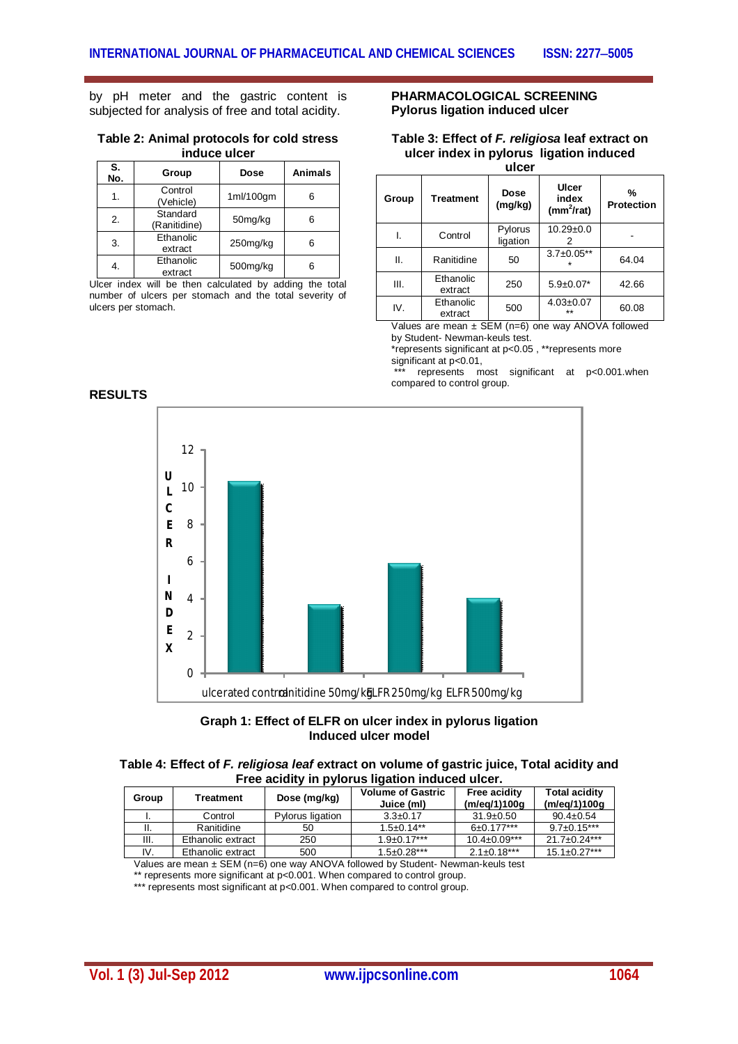by pH meter and the gastric content is subjected for analysis of free and total acidity.

#### **Table 2: Animal protocols for cold stress induce ulcer**

| S.<br>No. | Group                    | <b>Dose</b> | Animals |
|-----------|--------------------------|-------------|---------|
| 1.        | Control<br>(Vehicle)     | 1ml/100gm   | 6       |
| 2.        | Standard<br>(Ranitidine) | 50mg/kg     | 6       |
| 3.        | Ethanolic<br>extract     | 250mg/kg    | 6       |
| 4.        | Ethanolic<br>extract     | 500mg/kg    | 6       |

Ulcer index will be then calculated by adding the total number of ulcers per stomach and the total severity of ulcers per stomach.

#### **PHARMACOLOGICAL SCREENING Pylorus ligation induced ulcer**

#### **Table 3: Effect of** *F. religiosa* **leaf extract on ulcer index in pylorus ligation induced ulcer**

| Group | <b>Treatment</b>     | <b>Dose</b><br>(mg/kg) | Ulcer<br>index<br>$(mm^2/rat)$ | %<br><b>Protection</b> |
|-------|----------------------|------------------------|--------------------------------|------------------------|
|       | Control              | Pylorus<br>ligation    | $10.29 + 0.0$<br>2             |                        |
| ΙΙ.   | Ranitidine           | 50                     | $3.7 \pm 0.05**$               | 64.04                  |
| III.  | Ethanolic<br>extract | 250                    | $5.9 \pm 0.07*$                | 42.66                  |
| IV.   | Ethanolic<br>extract | 500                    | $4.03 \pm 0.07$<br>$***$       | 60.08                  |

Values are mean ± SEM (n=6) one way ANOVA followed by Student- Newman-keuls test.

\*represents significant at p<0.05 , \*\*represents more significant at p<0.01,

 $represents$  most significant at  $p<0.001$ .when compared to control group.

## **RESULTS**





| Table 4: Effect of F. religiosa leaf extract on volume of gastric juice, Total acidity and |  |
|--------------------------------------------------------------------------------------------|--|
| Free acidity in pylorus ligation induced ulcer.                                            |  |

| Group | Treatment         | Dose (mg/kg)     | <b>Volume of Gastric</b><br>Juice (ml) | <b>Free acidity</b><br>(m/eg/1)100g | <b>Total acidity</b><br>(m/eg/1)100g |
|-------|-------------------|------------------|----------------------------------------|-------------------------------------|--------------------------------------|
|       | Control           | Pylorus ligation | $3.3 \pm 0.17$                         | $31.9 \pm 0.50$                     | $90.4 \pm 0.54$                      |
|       | Ranitidine        | 50               | $1.5 \pm 0.14$ **                      | $6\pm 0.177***$                     | $9.7 \pm 0.15***$                    |
| III.  | Ethanolic extract | 250              | $1.9 \pm 0.17***$                      | $10.4\pm0.09***$                    | $21.7 + 0.24***$                     |
| IV.   | Ethanolic extract | 500              | $1.5 \pm 0.28$ ***                     | $2.1 \pm 0.18***$                   | $15.1 \pm 0.27***$                   |

Values are mean ± SEM (n=6) one way ANOVA followed by Student- Newman-keuls test

\*\* represents more significant at p<0.001. When compared to control group.

\*\*\* represents most significant at p<0.001. When compared to control group.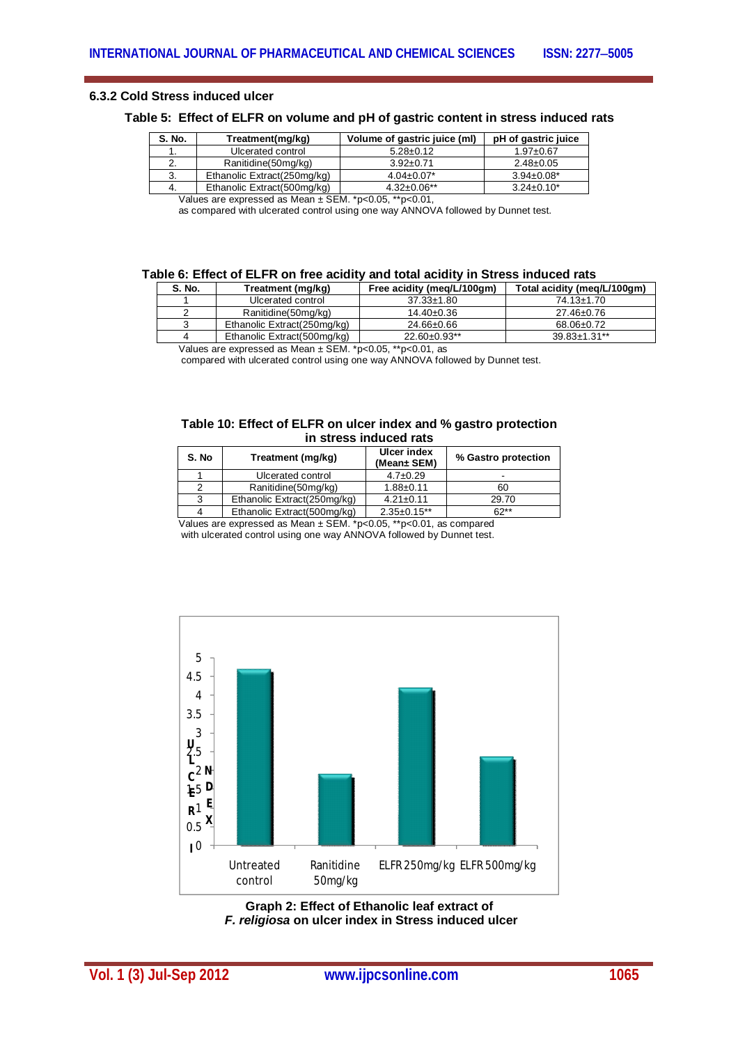## **6.3.2 Cold Stress induced ulcer**

## **Table 5: Effect of ELFR on volume and pH of gastric content in stress induced rats**

| S. No. | Treatment(mg/kg)            | Volume of gastric juice (ml) | pH of gastric juice |
|--------|-----------------------------|------------------------------|---------------------|
|        | Ulcerated control           | $5.28 \pm 0.12$              | $1.97 \pm 0.67$     |
|        | Ranitidine(50mg/kg)         | $3.92 \pm 0.71$              | $2.48 \pm 0.05$     |
| J.     | Ethanolic Extract(250mg/kg) | $4.04 \pm 0.07$ *            | $3.94 \pm 0.08^*$   |
| 4.     | Ethanolic Extract(500mg/kg) | $4.32 \pm 0.06**$            | $3.24 \pm 0.10^*$   |
| .      | . .                         | --------                     |                     |

Values are expressed as Mean ± SEM. \*p<0.05, \*\*p<0.01,

as compared with ulcerated control using one way ANNOVA followed by Dunnet test.

#### **Table 6: Effect of ELFR on free acidity and total acidity in Stress induced rats**

| S. No.   | Treatment (mg/kg)           | Free acidity (meg/L/100gm) | Total acidity (meg/L/100gm) |
|----------|-----------------------------|----------------------------|-----------------------------|
|          | Ulcerated control           | $37.33 \pm 1.80$           | $74.13 \pm 1.70$            |
|          | Ranitidine(50mg/kg)         | $14.40 \pm 0.36$           | 27.46±0.76                  |
|          | Ethanolic Extract(250mg/kg) | 24.66±0.66                 | 68.06±0.72                  |
|          | Ethanolic Extract(500mg/kg) | $22.60 \pm 0.93$ **        | $39.83 \pm 1.31**$          |
| $\cdots$ | ----                        | - - -<br>----              |                             |

Values are expressed as Mean ± SEM. \*p<0.05, \*\*p<0.01, as

compared with ulcerated control using one way ANNOVA followed by Dunnet test.

#### **Table 10: Effect of ELFR on ulcer index and % gastro protection in stress induced rats**

| S. No         | Treatment (mg/kg)           | <b>Ulcer index</b><br>(Mean± SEM) | % Gastro protection |
|---------------|-----------------------------|-----------------------------------|---------------------|
|               | Ulcerated control           | $4.7 \pm 0.29$                    |                     |
| 2             | Ranitidine(50mg/kg)         | $1.88 + 0.11$                     | 60                  |
| 3             | Ethanolic Extract(250mg/kg) | $4.21 \pm 0.11$                   | 29.70               |
|               | Ethanolic Extract(500mg/kg) | $2.35 \pm 0.15$ **                | $62**$              |
| $\sim$ $\sim$ |                             |                                   |                     |

Values are expressed as Mean ± SEM. \*p<0.05, \*\*p<0.01, as compared

with ulcerated control using one way ANNOVA followed by Dunnet test.



**Graph 2: Effect of Ethanolic leaf extract of** *F. religiosa* **on ulcer index in Stress induced ulcer**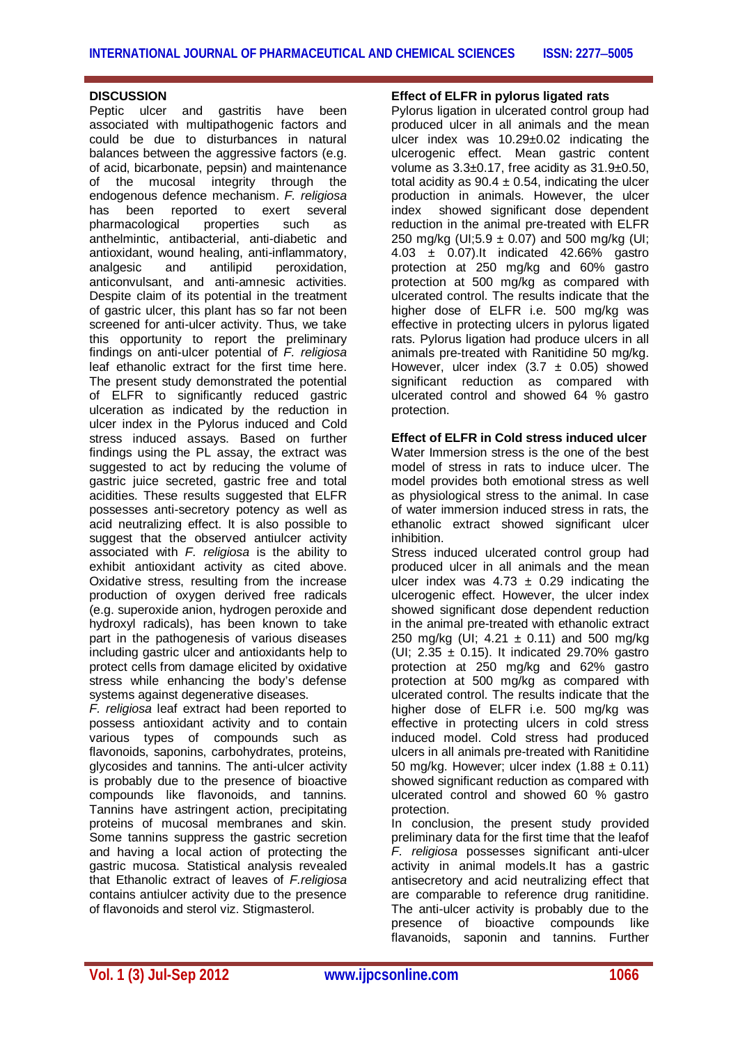## **DISCUSSION**

Peptic ulcer and gastritis have been associated with multipathogenic factors and could be due to disturbances in natural balances between the aggressive factors (e.g. of acid, bicarbonate, pepsin) and maintenance of the mucosal integrity through the endogenous defence mechanism. *F. religiosa*  has been reported to exert several<br>pharmacological properties such as pharmacological properties such as anthelmintic, antibacterial, anti-diabetic and antioxidant, wound healing, anti-inflammatory, analgesic and antilipid peroxidation, anticonvulsant, and anti-amnesic activities. Despite claim of its potential in the treatment of gastric ulcer, this plant has so far not been screened for anti-ulcer activity. Thus, we take this opportunity to report the preliminary findings on anti-ulcer potential of *F. religiosa*  leaf ethanolic extract for the first time here. The present study demonstrated the potential of ELFR to significantly reduced gastric ulceration as indicated by the reduction in ulcer index in the Pylorus induced and Cold stress induced assays. Based on further findings using the PL assay, the extract was suggested to act by reducing the volume of gastric juice secreted, gastric free and total acidities. These results suggested that ELFR possesses anti-secretory potency as well as acid neutralizing effect. It is also possible to suggest that the observed antiulcer activity associated with *F. religiosa* is the ability to exhibit antioxidant activity as cited above. Oxidative stress, resulting from the increase production of oxygen derived free radicals (e.g. superoxide anion, hydrogen peroxide and hydroxyl radicals), has been known to take part in the pathogenesis of various diseases including gastric ulcer and antioxidants help to protect cells from damage elicited by oxidative stress while enhancing the body's defense systems against degenerative diseases.

*F. religiosa* leaf extract had been reported to possess antioxidant activity and to contain various types of compounds such as flavonoids, saponins, carbohydrates, proteins, glycosides and tannins. The anti-ulcer activity is probably due to the presence of bioactive compounds like flavonoids, and tannins. Tannins have astringent action, precipitating proteins of mucosal membranes and skin. Some tannins suppress the gastric secretion and having a local action of protecting the gastric mucosa. Statistical analysis revealed that Ethanolic extract of leaves of *F.religiosa*  contains antiulcer activity due to the presence of flavonoids and sterol viz. Stigmasterol.

## **Effect of ELFR in pylorus ligated rats**

Pylorus ligation in ulcerated control group had produced ulcer in all animals and the mean ulcer index was 10.29±0.02 indicating the ulcerogenic effect. Mean gastric content volume as 3.3±0.17, free acidity as 31.9±0.50, total acidity as  $90.4 \pm 0.54$ , indicating the ulcer production in animals. However, the ulcer index showed significant dose dependent reduction in the animal pre-treated with ELFR 250 mg/kg (UI;5.9  $\pm$  0.07) and 500 mg/kg (UI; 4.03 ± 0.07).It indicated 42.66% gastro protection at 250 mg/kg and 60% gastro protection at 500 mg/kg as compared with ulcerated control. The results indicate that the higher dose of ELFR i.e. 500 mg/kg was effective in protecting ulcers in pylorus ligated rats. Pylorus ligation had produce ulcers in all animals pre-treated with Ranitidine 50 mg/kg. However, ulcer index  $(3.7 \pm 0.05)$  showed significant reduction as compared with ulcerated control and showed 64 % gastro protection.

#### **Effect of ELFR in Cold stress induced ulcer**

Water Immersion stress is the one of the best model of stress in rats to induce ulcer. The model provides both emotional stress as well as physiological stress to the animal. In case of water immersion induced stress in rats, the ethanolic extract showed significant ulcer inhibition.

Stress induced ulcerated control group had produced ulcer in all animals and the mean ulcer index was  $4.73 \pm 0.29$  indicating the ulcerogenic effect. However, the ulcer index showed significant dose dependent reduction in the animal pre-treated with ethanolic extract 250 mg/kg (UI;  $4.21 \pm 0.11$ ) and 500 mg/kg (UI;  $2.35 \pm 0.15$ ). It indicated 29.70% gastro protection at 250 mg/kg and 62% gastro protection at 500 mg/kg as compared with ulcerated control. The results indicate that the higher dose of ELFR i.e. 500 mg/kg was effective in protecting ulcers in cold stress induced model. Cold stress had produced ulcers in all animals pre-treated with Ranitidine 50 mg/kg. However; ulcer index  $(1.88 \pm 0.11)$ showed significant reduction as compared with ulcerated control and showed 60 % gastro protection.

In conclusion, the present study provided preliminary data for the first time that the leafof *F. religiosa* possesses significant anti-ulcer activity in animal models.It has a gastric antisecretory and acid neutralizing effect that are comparable to reference drug ranitidine. The anti-ulcer activity is probably due to the presence of bioactive compounds like flavanoids, saponin and tannins. Further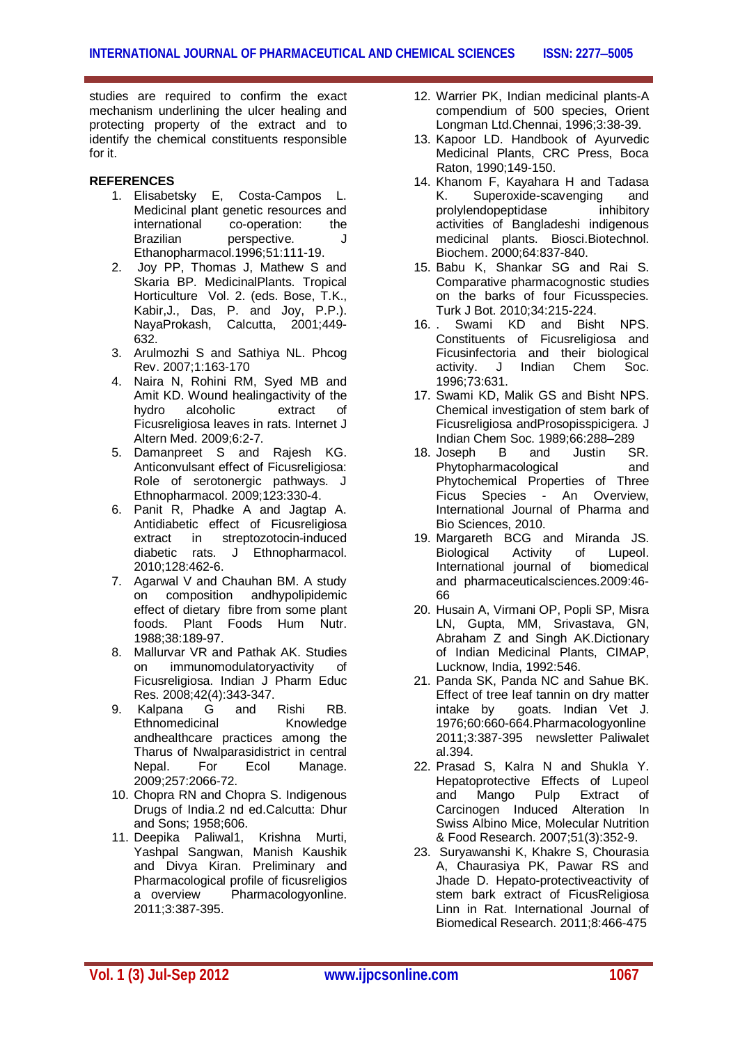studies are required to confirm the exact mechanism underlining the ulcer healing and protecting property of the extract and to identify the chemical constituents responsible for it.

## **REFERENCES**

- 1. Elisabetsky E, Costa-Campos L. Medicinal plant genetic resources and<br>international co-operation: the international co-operation: the<br>Brazilian perspective. perspective. Ethanopharmacol.1996;51:111-19.
- 2. Joy PP, Thomas J, Mathew S and Skaria BP. MedicinalPlants. Tropical Horticulture Vol. 2. (eds. Bose, T.K., Kabir,J., Das, P. and Joy, P.P.). NayaProkash, Calcutta, 2001;449- 632.
- 3. Arulmozhi S and Sathiya NL. Phcog Rev. 2007;1:163-170
- 4. Naira N, Rohini RM, Syed MB and Amit KD. Wound healingactivity of the hydro alcoholic extract of Ficusreligiosa leaves in rats. Internet J Altern Med. 2009;6:2-7.
- 5. Damanpreet S and Rajesh KG. Anticonvulsant effect of Ficusreligiosa: Role of serotonergic pathways. J Ethnopharmacol. 2009;123:330-4.
- 6. Panit R, Phadke A and Jagtap A. Antidiabetic effect of Ficusreligiosa extract in streptozotocin-induced diabetic rats. J Ethnopharmacol. 2010;128:462-6.
- 7. Agarwal V and Chauhan BM. A study on composition andhypolipidemic effect of dietary fibre from some plant foods. Plant Foods Hum Nutr. 1988;38:189-97.
- 8. Mallurvar VR and Pathak AK. Studies on immunomodulatoryactivity of Ficusreligiosa. Indian J Pharm Educ Res. 2008;42(4):343-347.
- 9. Kalpana G and Rishi RB. Ethnomedicinal Knowledge andhealthcare practices among the Tharus of Nwalparasidistrict in central Nepal. For Ecol Manage. 2009;257:2066-72.
- 10. Chopra RN and Chopra S. Indigenous Drugs of India.2 nd ed.Calcutta: Dhur and Sons; 1958;606.
- 11. Deepika Paliwal1, Krishna Murti, Yashpal Sangwan, Manish Kaushik and Divya Kiran. Preliminary and Pharmacological profile of ficusreligios a overview Pharmacologyonline. 2011;3:387-395.
- 12. Warrier PK, Indian medicinal plants-A compendium of 500 species, Orient Longman Ltd.Chennai, 1996;3:38-39.
- 13. Kapoor LD. Handbook of Ayurvedic Medicinal Plants, CRC Press, Boca Raton, 1990;149-150.
- 14. Khanom F, Kayahara H and Tadasa K. Superoxide-scavenging and<br>prolylendopeptidase inhibitory prolylendopeptidase activities of Bangladeshi indigenous medicinal plants. Biosci.Biotechnol. Biochem. 2000;64:837-840.
- 15. Babu K, Shankar SG and Rai S. Comparative pharmacognostic studies on the barks of four Ficusspecies. Turk J Bot. 2010;34:215-224.
- 16. Swami KD and Bisht NPS Constituents of Ficusreligiosa and Ficusinfectoria and their biological activity. J Indian Chem Soc. 1996;73:631.
- 17. Swami KD, Malik GS and Bisht NPS. Chemical investigation of stem bark of Ficusreligiosa andProsopisspicigera. J Indian Chem Soc. 1989;66:288–289
- 18. Joseph B and Justin SR. Phytopharmacological and Phytochemical Properties of Three Ficus Species - An Overview, International Journal of Pharma and Bio Sciences, 2010.
- 19. Margareth BCG and Miranda JS. Biological Activity of Lupeol.<br>International journal of biomedical International journal of and pharmaceuticalsciences.2009:46- 66
- 20. Husain A, Virmani OP, Popli SP, Misra LN, Gupta, MM, Srivastava, GN, Abraham Z and Singh AK.Dictionary of Indian Medicinal Plants, CIMAP, Lucknow, India, 1992:546.
- 21. Panda SK, Panda NC and Sahue BK. Effect of tree leaf tannin on dry matter intake by goats. Indian Vet J. 1976;60:660-664.Pharmacologyonline 2011;3:387-395 newsletter Paliwalet al.394.
- 22. Prasad S, Kalra N and Shukla Y. Hepatoprotective Effects of Lupeol and Mango Pulp Extract of Carcinogen Induced Alteration In Swiss Albino Mice, Molecular Nutrition & Food Research. 2007;51(3):352-9.
- 23. Suryawanshi K, Khakre S, Chourasia A, Chaurasiya PK, Pawar RS and Jhade D. Hepato-protectiveactivity of stem bark extract of FicusReligiosa Linn in Rat. International Journal of Biomedical Research. 2011;8:466-475